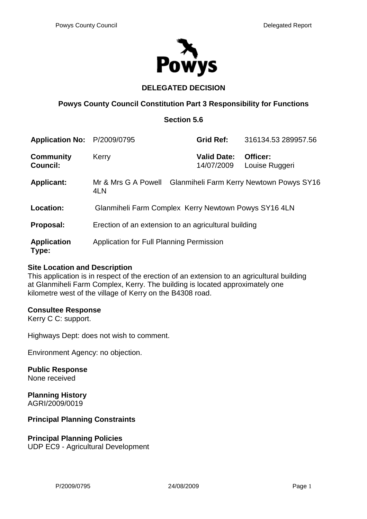

## **DELEGATED DECISION**

### **Powys County Council Constitution Part 3 Responsibility for Functions**

### **Section 5.6**

| Application No: P/2009/0795         |                                                      | <b>Grid Ref:</b>                 | 316134.53 289957.56                      |
|-------------------------------------|------------------------------------------------------|----------------------------------|------------------------------------------|
| <b>Community</b><br><b>Council:</b> | Kerry                                                | <b>Valid Date:</b><br>14/07/2009 | Officer:<br>Louise Ruggeri               |
| <b>Applicant:</b>                   | Mr & Mrs G A Powell<br>4LN                           |                                  | Glanmiheli Farm Kerry Newtown Powys SY16 |
| <b>Location:</b>                    | Glanmiheli Farm Complex Kerry Newtown Powys SY16 4LN |                                  |                                          |
| Proposal:                           | Erection of an extension to an agricultural building |                                  |                                          |
| <b>Application</b><br>Type:         | Application for Full Planning Permission             |                                  |                                          |

### **Site Location and Description**

This application is in respect of the erection of an extension to an agricultural building at Glanmiheli Farm Complex, Kerry. The building is located approximately one kilometre west of the village of Kerry on the B4308 road.

### **Consultee Response**

Kerry C C: support.

Highways Dept: does not wish to comment.

Environment Agency: no objection.

**Public Response** None received

**Planning History**  AGRI/2009/0019

### **Principal Planning Constraints**

# **Principal Planning Policies**

UDP EC9 - Agricultural Development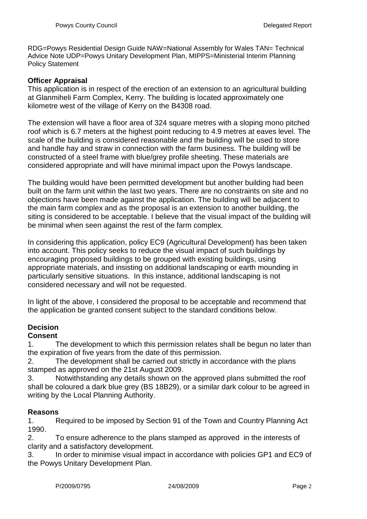RDG=Powys Residential Design Guide NAW=National Assembly for Wales TAN= Technical Advice Note UDP=Powys Unitary Development Plan, MIPPS=Ministerial Interim Planning Policy Statement

### **Officer Appraisal**

This application is in respect of the erection of an extension to an agricultural building at Glanmiheli Farm Complex, Kerry. The building is located approximately one kilometre west of the village of Kerry on the B4308 road.

The extension will have a floor area of 324 square metres with a sloping mono pitched roof which is 6.7 meters at the highest point reducing to 4.9 metres at eaves level. The scale of the building is considered reasonable and the building will be used to store and handle hay and straw in connection with the farm business. The building will be constructed of a steel frame with blue/grey profile sheeting. These materials are considered appropriate and will have minimal impact upon the Powys landscape.

The building would have been permitted development but another building had been built on the farm unit within the last two years. There are no constraints on site and no objections have been made against the application. The building will be adjacent to the main farm complex and as the proposal is an extension to another building, the siting is considered to be acceptable. I believe that the visual impact of the building will be minimal when seen against the rest of the farm complex.

In considering this application, policy EC9 (Agricultural Development) has been taken into account. This policy seeks to reduce the visual impact of such buildings by encouraging proposed buildings to be grouped with existing buildings, using appropriate materials, and insisting on additional landscaping or earth mounding in particularly sensitive situations. In this instance, additional landscaping is not considered necessary and will not be requested.

In light of the above, I considered the proposal to be acceptable and recommend that the application be granted consent subject to the standard conditions below.

## **Decision**

### **Consent**

1. The development to which this permission relates shall be begun no later than the expiration of five years from the date of this permission.

2. The development shall be carried out strictly in accordance with the plans stamped as approved on the 21st August 2009.

3. Notwithstanding any details shown on the approved plans submitted the roof shall be coloured a dark blue grey (BS 18B29), or a similar dark colour to be agreed in writing by the Local Planning Authority.

### **Reasons**

1. Required to be imposed by Section 91 of the Town and Country Planning Act 1990.

2. To ensure adherence to the plans stamped as approved in the interests of clarity and a satisfactory development.

3. In order to minimise visual impact in accordance with policies GP1 and EC9 of the Powys Unitary Development Plan.